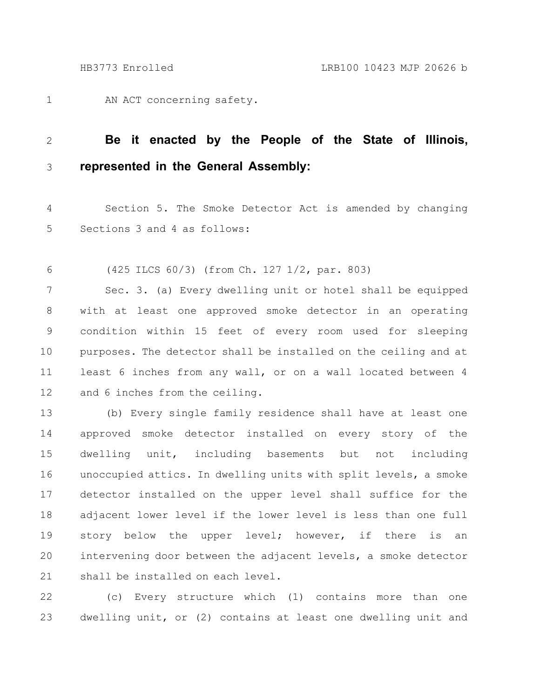AN ACT concerning safety. 1

## **Be it enacted by the People of the State of Illinois, represented in the General Assembly:** 2 3

Section 5. The Smoke Detector Act is amended by changing Sections 3 and 4 as follows: 4 5

(425 ILCS 60/3) (from Ch. 127 1/2, par. 803) 6

Sec. 3. (a) Every dwelling unit or hotel shall be equipped with at least one approved smoke detector in an operating condition within 15 feet of every room used for sleeping purposes. The detector shall be installed on the ceiling and at least 6 inches from any wall, or on a wall located between 4 and 6 inches from the ceiling. 7 8 9 10 11 12

(b) Every single family residence shall have at least one approved smoke detector installed on every story of the dwelling unit, including basements but not including unoccupied attics. In dwelling units with split levels, a smoke detector installed on the upper level shall suffice for the adjacent lower level if the lower level is less than one full story below the upper level; however, if there is an intervening door between the adjacent levels, a smoke detector shall be installed on each level. 13 14 15 16 17 18 19 20 21

(c) Every structure which (1) contains more than one dwelling unit, or (2) contains at least one dwelling unit and 22 23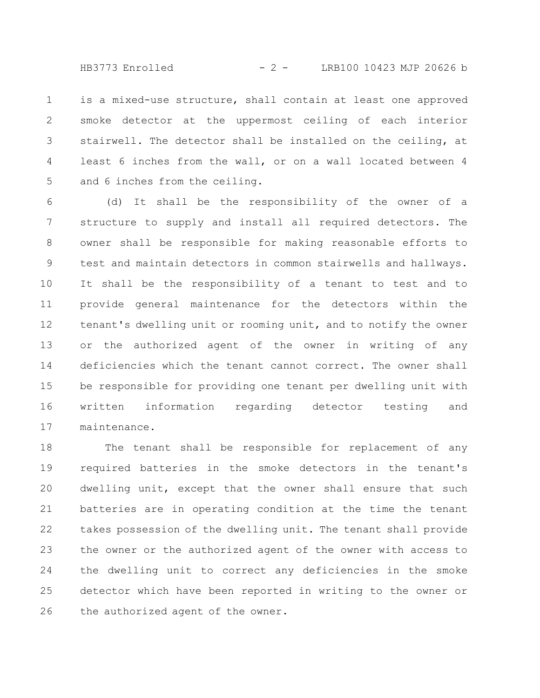$HB3773$  Enrolled  $-2 -$  LRB100 10423 MJP 20626 b

is a mixed-use structure, shall contain at least one approved smoke detector at the uppermost ceiling of each interior stairwell. The detector shall be installed on the ceiling, at least 6 inches from the wall, or on a wall located between 4 and 6 inches from the ceiling. 1 2 3 4 5

(d) It shall be the responsibility of the owner of a structure to supply and install all required detectors. The owner shall be responsible for making reasonable efforts to test and maintain detectors in common stairwells and hallways. It shall be the responsibility of a tenant to test and to provide general maintenance for the detectors within the tenant's dwelling unit or rooming unit, and to notify the owner or the authorized agent of the owner in writing of any deficiencies which the tenant cannot correct. The owner shall be responsible for providing one tenant per dwelling unit with written information regarding detector testing and maintenance. 6 7 8 9 10 11 12 13 14 15 16 17

The tenant shall be responsible for replacement of any required batteries in the smoke detectors in the tenant's dwelling unit, except that the owner shall ensure that such batteries are in operating condition at the time the tenant takes possession of the dwelling unit. The tenant shall provide the owner or the authorized agent of the owner with access to the dwelling unit to correct any deficiencies in the smoke detector which have been reported in writing to the owner or the authorized agent of the owner. 18 19 20 21 22 23 24 25 26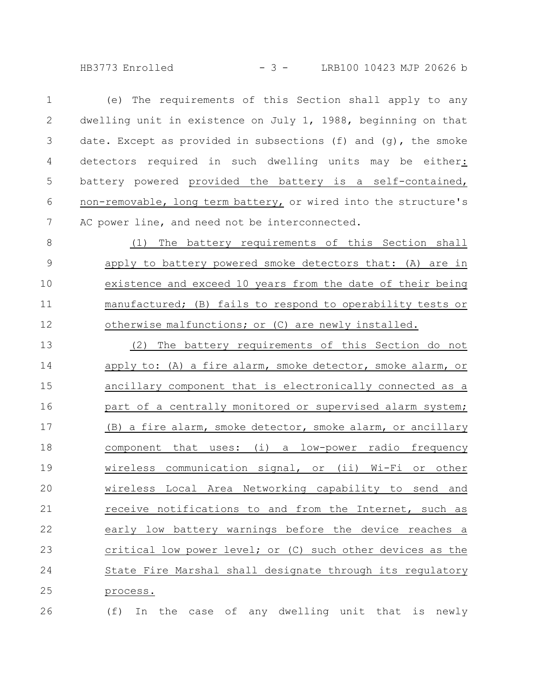HB3773 Enrolled - 3 - LRB100 10423 MJP 20626 b

| $\mathbf 1$    | (e) The requirements of this Section shall apply to any         |
|----------------|-----------------------------------------------------------------|
| $\mathbf{2}$   | dwelling unit in existence on July 1, 1988, beginning on that   |
| $\mathcal{S}$  | date. Except as provided in subsections (f) and (g), the smoke  |
| $\overline{4}$ | detectors required in such dwelling units may be either:        |
| 5              | battery powered provided the battery is a self-contained,       |
| 6              | non-removable, long term battery, or wired into the structure's |
| 7              | AC power line, and need not be interconnected.                  |
| 8              | (1) The battery requirements of this Section shall              |
| $\mathsf 9$    | apply to battery powered smoke detectors that: (A) are in       |
| 10             | existence and exceed 10 years from the date of their being      |
| 11             | manufactured; (B) fails to respond to operability tests or      |
| 12             | otherwise malfunctions; or (C) are newly installed.             |
| 13             | (2) The battery requirements of this Section do not             |
| 14             | apply to: (A) a fire alarm, smoke detector, smoke alarm, or     |
| 15             | ancillary component that is electronically connected as a       |
| 16             | part of a centrally monitored or supervised alarm system;       |
| 17             | (B) a fire alarm, smoke detector, smoke alarm, or ancillary     |
| 18             | component that uses: (i) a low-power radio frequency            |
| 19             | wireless communication signal, or (ii) Wi-Fi or other           |
| 20             | wireless Local Area Networking capability to send<br>and        |
| 21             | receive notifications to and from the Internet, such as         |
| 22             | early low battery warnings before the device reaches a          |
| 23             | critical low power level; or (C) such other devices as the      |
| 24             | State Fire Marshal shall designate through its regulatory       |
| 25             | process.                                                        |
|                |                                                                 |

(f) In the case of any dwelling unit that is newly 26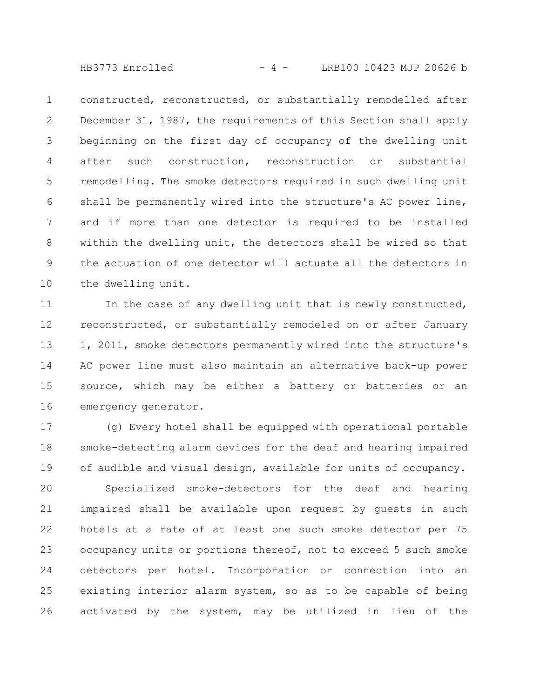$HB3773$  Enrolled  $-4 -$  LRB100 10423 MJP 20626 b

constructed, reconstructed, or substantially remodelled after December 31, 1987, the requirements of this Section shall apply beginning on the first day of occupancy of the dwelling unit after such construction, reconstruction or substantial remodelling. The smoke detectors required in such dwelling unit shall be permanently wired into the structure's AC power line, and if more than one detector is required to be installed within the dwelling unit, the detectors shall be wired so that the actuation of one detector will actuate all the detectors in the dwelling unit. 1 2 3 4 5 6 7 8 9 10

In the case of any dwelling unit that is newly constructed, reconstructed, or substantially remodeled on or after January 1, 2011, smoke detectors permanently wired into the structure's AC power line must also maintain an alternative back-up power source, which may be either a battery or batteries or an emergency generator. 11 12 13 14 15 16

(g) Every hotel shall be equipped with operational portable smoke-detecting alarm devices for the deaf and hearing impaired of audible and visual design, available for units of occupancy. 17 18 19

Specialized smoke-detectors for the deaf and hearing impaired shall be available upon request by guests in such hotels at a rate of at least one such smoke detector per 75 occupancy units or portions thereof, not to exceed 5 such smoke detectors per hotel. Incorporation or connection into an existing interior alarm system, so as to be capable of being activated by the system, may be utilized in lieu of the 20 21 22 23 24 25 26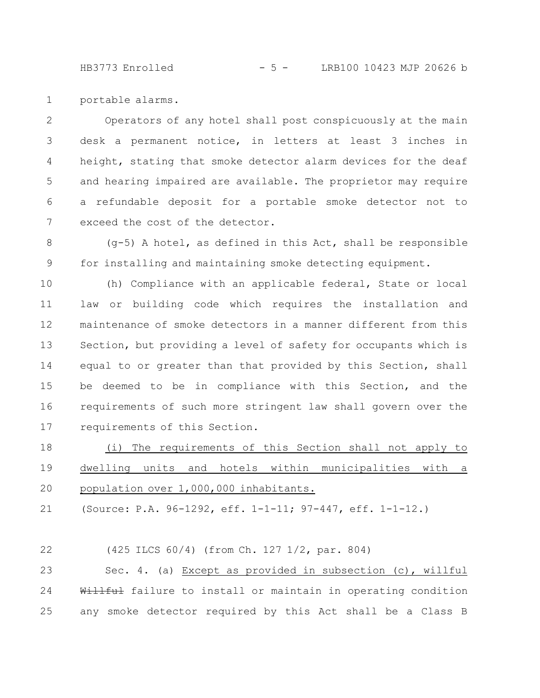HB3773 Enrolled - 5 - LRB100 10423 MJP 20626 b

portable alarms. 1

Operators of any hotel shall post conspicuously at the main desk a permanent notice, in letters at least 3 inches in height, stating that smoke detector alarm devices for the deaf and hearing impaired are available. The proprietor may require a refundable deposit for a portable smoke detector not to exceed the cost of the detector. 2 3 4 5 6 7

(g-5) A hotel, as defined in this Act, shall be responsible for installing and maintaining smoke detecting equipment. 8 9

(h) Compliance with an applicable federal, State or local law or building code which requires the installation and maintenance of smoke detectors in a manner different from this Section, but providing a level of safety for occupants which is equal to or greater than that provided by this Section, shall be deemed to be in compliance with this Section, and the requirements of such more stringent law shall govern over the requirements of this Section. 10 11 12 13 14 15 16 17

(i) The requirements of this Section shall not apply to dwelling units and hotels within municipalities with a population over 1,000,000 inhabitants. 18 19 20

(Source: P.A. 96-1292, eff. 1-1-11; 97-447, eff. 1-1-12.) 21

(425 ILCS 60/4) (from Ch. 127 1/2, par. 804) Sec. 4. (a) Except as provided in subsection (c), willful Willful failure to install or maintain in operating condition any smoke detector required by this Act shall be a Class B 22 23 24 25